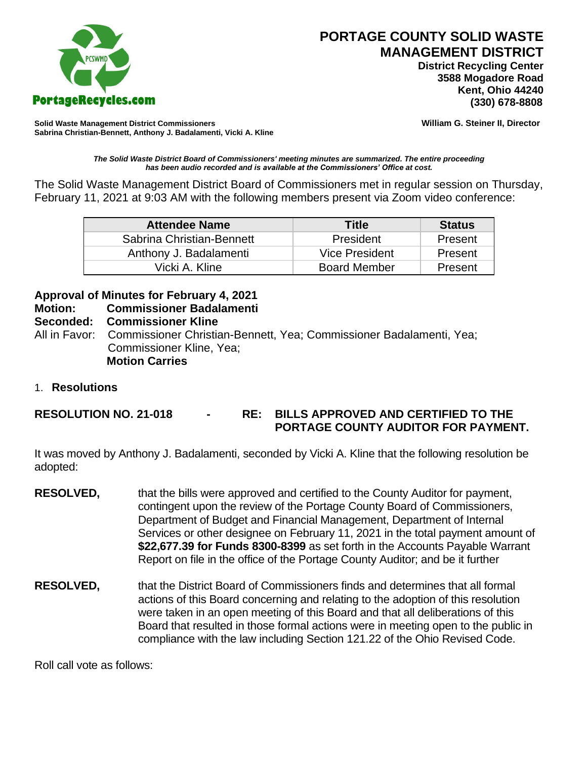

# **PORTAGE COUNTY SOLID WASTE MANAGEMENT DISTRICT**

 **District Recycling Center 3588 Mogadore Road Kent, Ohio 44240**

**Solid Waste Management District Commissioners William G. Steiner II, Director Sabrina Christian-Bennett, Anthony J. Badalamenti, Vicki A. Kline**

*The Solid Waste District Board of Commissioners' meeting minutes are summarized. The entire proceeding has been audio recorded and is available at the Commissioners' Office at cost.*

The Solid Waste Management District Board of Commissioners met in regular session on Thursday, February 11, 2021 at 9:03 AM with the following members present via Zoom video conference:

| <b>Attendee Name</b>      | Title               | <b>Status</b> |
|---------------------------|---------------------|---------------|
| Sabrina Christian-Bennett | President           | Present       |
| Anthony J. Badalamenti    | Vice President      | Present       |
| Vicki A. Kline            | <b>Board Member</b> | Present       |

## **Approval of Minutes for February 4, 2021**

**Motion: Commissioner Badalamenti**

#### **Seconded: Commissioner Kline**

All in Favor: Commissioner Christian-Bennett, Yea; Commissioner Badalamenti, Yea; Commissioner Kline, Yea; **Motion Carries**

1. **Resolutions**

**RESOLUTION NO. 21-018 - RE: BILLS APPROVED AND CERTIFIED TO THE PORTAGE COUNTY AUDITOR FOR PAYMENT.** 

It was moved by Anthony J. Badalamenti, seconded by Vicki A. Kline that the following resolution be adopted:

- **RESOLVED,** that the bills were approved and certified to the County Auditor for payment, contingent upon the review of the Portage County Board of Commissioners, Department of Budget and Financial Management, Department of Internal Services or other designee on February 11, 2021 in the total payment amount of **\$22,677.39 for Funds 8300-8399** as set forth in the Accounts Payable Warrant Report on file in the office of the Portage County Auditor; and be it further
- **RESOLVED,** that the District Board of Commissioners finds and determines that all formal actions of this Board concerning and relating to the adoption of this resolution were taken in an open meeting of this Board and that all deliberations of this Board that resulted in those formal actions were in meeting open to the public in compliance with the law including Section 121.22 of the Ohio Revised Code.

Roll call vote as follows: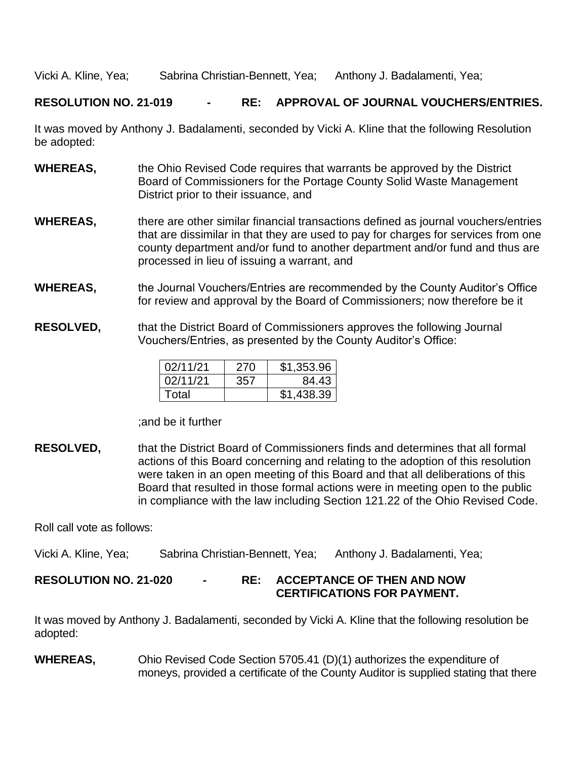Vicki A. Kline, Yea; Sabrina Christian-Bennett, Yea; Anthony J. Badalamenti, Yea;

#### **RESOLUTION NO. 21-019 - RE: APPROVAL OF JOURNAL VOUCHERS/ENTRIES.**

It was moved by Anthony J. Badalamenti, seconded by Vicki A. Kline that the following Resolution be adopted:

- **WHEREAS,** the Ohio Revised Code requires that warrants be approved by the District Board of Commissioners for the Portage County Solid Waste Management District prior to their issuance, and
- **WHEREAS,** there are other similar financial transactions defined as journal vouchers/entries that are dissimilar in that they are used to pay for charges for services from one county department and/or fund to another department and/or fund and thus are processed in lieu of issuing a warrant, and
- **WHEREAS,** the Journal Vouchers/Entries are recommended by the County Auditor's Office for review and approval by the Board of Commissioners; now therefore be it
- **RESOLVED,** that the District Board of Commissioners approves the following Journal Vouchers/Entries, as presented by the County Auditor's Office:

| 02/11/21 | 270 | \$1,353.96 |
|----------|-----|------------|
| 02/11/21 | 357 | 84.43      |
| Total    |     | \$1,438.39 |

;and be it further

**RESOLVED,** that the District Board of Commissioners finds and determines that all formal actions of this Board concerning and relating to the adoption of this resolution were taken in an open meeting of this Board and that all deliberations of this Board that resulted in those formal actions were in meeting open to the public in compliance with the law including Section 121.22 of the Ohio Revised Code.

Roll call vote as follows:

Vicki A. Kline, Yea; Sabrina Christian-Bennett, Yea; Anthony J. Badalamenti, Yea;

### **RESOLUTION NO. 21-020 - RE: ACCEPTANCE OF THEN AND NOW CERTIFICATIONS FOR PAYMENT.**

It was moved by Anthony J. Badalamenti, seconded by Vicki A. Kline that the following resolution be adopted:

**WHEREAS,** Ohio Revised Code Section 5705.41 (D)(1) authorizes the expenditure of moneys, provided a certificate of the County Auditor is supplied stating that there